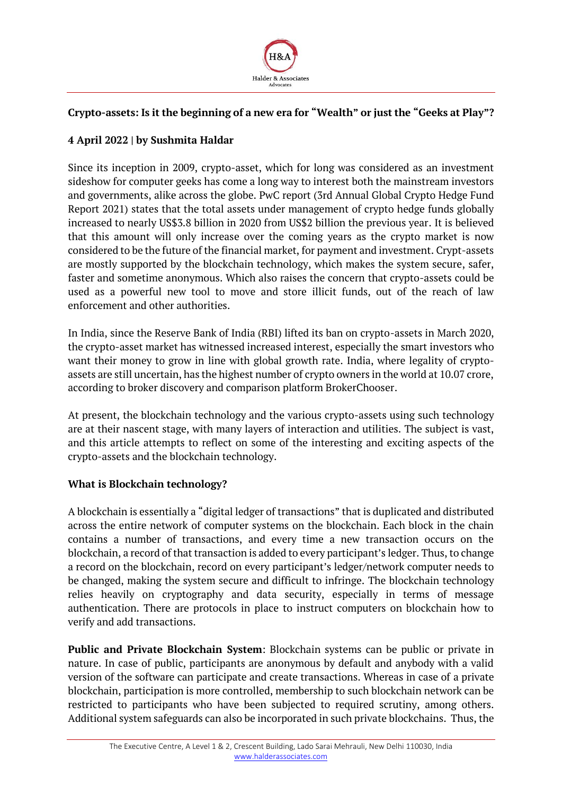

# **Crypto-assets: Is it the beginning of a new era for "Wealth" or just the "Geeks at Play"?**

## **4 April 2022 | by Sushmita Haldar**

Since its inception in 2009, crypto-asset, which for long was considered as an investment sideshow for computer geeks has come a long way to interest both the mainstream investors and governments, alike across the globe. PwC report (3rd Annual Global Crypto Hedge Fund Report 2021) states that the total assets under management of crypto hedge funds globally increased to nearly US\$3.8 billion in 2020 from US\$2 billion the previous year. It is believed that this amount will only increase over the coming years as the crypto market is now considered to be the future of the financial market, for payment and investment. Crypt-assets are mostly supported by the blockchain technology, which makes the system secure, safer, faster and sometime anonymous. Which also raises the concern that crypto-assets could be used as a powerful new tool to move and store illicit funds, out of the reach of law enforcement and other authorities.

In India, since the Reserve Bank of India (RBI) lifted its ban on crypto-assets in March 2020, the crypto-asset market has witnessed increased interest, especially the smart investors who want their money to grow in line with global growth rate. India, where legality of cryptoassets are still uncertain, has the highest number of crypto owners in the world at 10.07 crore, according to broker discovery and comparison platform BrokerChooser.

At present, the blockchain technology and the various crypto-assets using such technology are at their nascent stage, with many layers of interaction and utilities. The subject is vast, and this article attempts to reflect on some of the interesting and exciting aspects of the crypto-assets and the blockchain technology.

### **What is Blockchain technology?**

A blockchain is essentially a "digital ledger of transactions" that is duplicated and distributed across the entire network of computer systems on the blockchain. Each block in the chain contains a number of transactions, and every time a new transaction occurs on the blockchain, a record of that transaction is added to every participant's ledger. Thus, to change a record on the blockchain, record on every participant's ledger/network computer needs to be changed, making the system secure and difficult to infringe. The blockchain technology relies heavily on cryptography and data security, especially in terms of message authentication. There are protocols in place to instruct computers on blockchain how to verify and add transactions.

**Public and Private Blockchain System**: Blockchain systems can be public or private in nature. In case of public, participants are anonymous by default and anybody with a valid version of the software can participate and create transactions. Whereas in case of a private blockchain, participation is more controlled, membership to such blockchain network can be restricted to participants who have been subjected to required scrutiny, among others. Additional system safeguards can also be incorporated in such private blockchains. Thus, the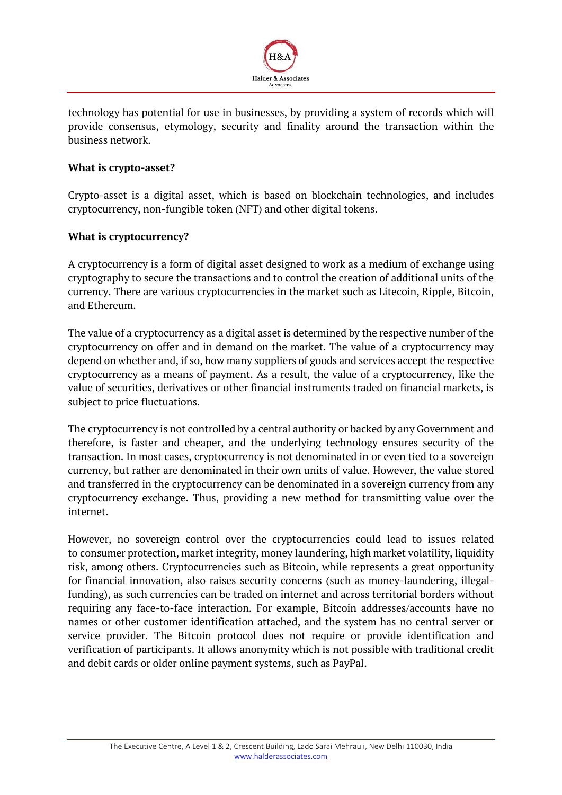

technology has potential for use in businesses, by providing a system of records which will provide consensus, etymology, security and finality around the transaction within the business network.

### **What is crypto-asset?**

Crypto-asset is a digital asset, which is based on blockchain technologies, and includes cryptocurrency, non-fungible token (NFT) and other digital tokens.

### **What is cryptocurrency?**

A cryptocurrency is a form of digital asset designed to work as a medium of exchange using cryptography to secure the transactions and to control the creation of additional units of the currency. There are various cryptocurrencies in the market such as Litecoin, Ripple, Bitcoin, and Ethereum.

The value of a cryptocurrency as a digital asset is determined by the respective number of the cryptocurrency on offer and in demand on the market. The value of a cryptocurrency may depend on whether and, if so, how many suppliers of goods and services accept the respective cryptocurrency as a means of payment. As a result, the value of a cryptocurrency, like the value of securities, derivatives or other financial instruments traded on financial markets, is subject to price fluctuations.

The cryptocurrency is not controlled by a central authority or backed by any Government and therefore, is faster and cheaper, and the underlying technology ensures security of the transaction. In most cases, cryptocurrency is not denominated in or even tied to a sovereign currency, but rather are denominated in their own units of value. However, the value stored and transferred in the cryptocurrency can be denominated in a sovereign currency from any cryptocurrency exchange. Thus, providing a new method for transmitting value over the internet.

However, no sovereign control over the cryptocurrencies could lead to issues related to consumer protection, market integrity, money laundering, high market volatility, liquidity risk, among others. Cryptocurrencies such as Bitcoin, while represents a great opportunity for financial innovation, also raises security concerns (such as money-laundering, illegalfunding), as such currencies can be traded on internet and across territorial borders without requiring any face-to-face interaction. For example, Bitcoin addresses/accounts have no names or other customer identification attached, and the system has no central server or service provider. The Bitcoin protocol does not require or provide identification and verification of participants. It allows anonymity which is not possible with traditional credit and debit cards or older online payment systems, such as PayPal.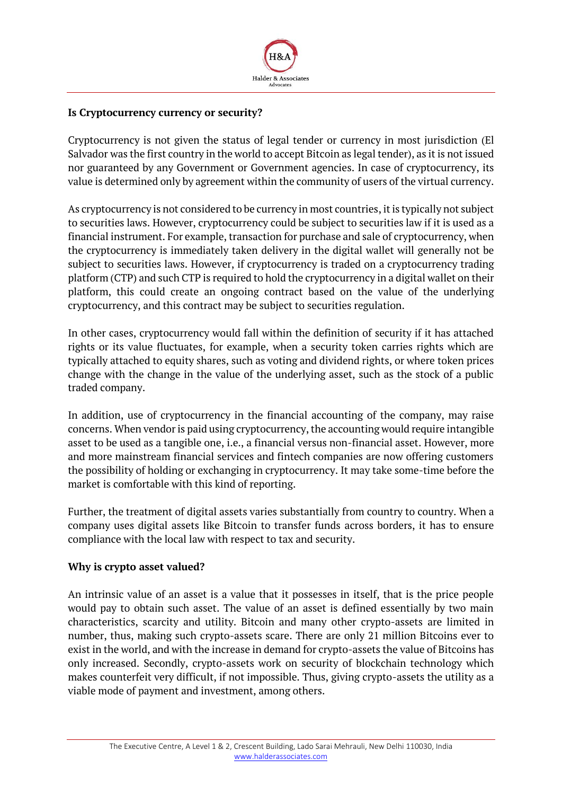

#### **Is Cryptocurrency currency or security?**

Cryptocurrency is not given the status of legal tender or currency in most jurisdiction (El Salvador was the first country in the world to accept Bitcoin as legal tender), as it is not issued nor guaranteed by any Government or Government agencies. In case of cryptocurrency, its value is determined only by agreement within the community of users of the virtual currency.

As cryptocurrency is not considered to be currency in most countries, it is typically not subject to securities laws. However, cryptocurrency could be subject to securities law if it is used as a financial instrument. For example, transaction for purchase and sale of cryptocurrency, when the cryptocurrency is immediately taken delivery in the digital wallet will generally not be subject to securities laws. However, if cryptocurrency is traded on a cryptocurrency trading platform (CTP) and such CTP is required to hold the cryptocurrency in a digital wallet on their platform, this could create an ongoing contract based on the value of the underlying cryptocurrency, and this contract may be subject to securities regulation.

In other cases, cryptocurrency would fall within the definition of security if it has attached rights or its value fluctuates, for example, when a security token carries rights which are typically attached to equity shares, such as voting and dividend rights, or where token prices change with the change in the value of the underlying asset, such as the stock of a public traded company.

In addition, use of cryptocurrency in the financial accounting of the company, may raise concerns. When vendor is paid using cryptocurrency, the accounting would require intangible asset to be used as a tangible one, i.e., a financial versus non-financial asset. However, more and more mainstream financial services and fintech companies are now offering customers the possibility of holding or exchanging in cryptocurrency. It may take some-time before the market is comfortable with this kind of reporting.

Further, the treatment of digital assets varies substantially from country to country. When a company uses digital assets like Bitcoin to transfer funds across borders, it has to ensure compliance with the local law with respect to tax and security.

#### **Why is crypto asset valued?**

An intrinsic value of an asset is a value that it possesses in itself, that is the price people would pay to obtain such asset. The value of an asset is defined essentially by two main characteristics, scarcity and utility. Bitcoin and many other crypto-assets are limited in number, thus, making such crypto-assets scare. There are only 21 million Bitcoins ever to exist in the world, and with the increase in demand for crypto-assets the value of Bitcoins has only increased. Secondly, crypto-assets work on security of blockchain technology which makes counterfeit very difficult, if not impossible. Thus, giving crypto-assets the utility as a viable mode of payment and investment, among others.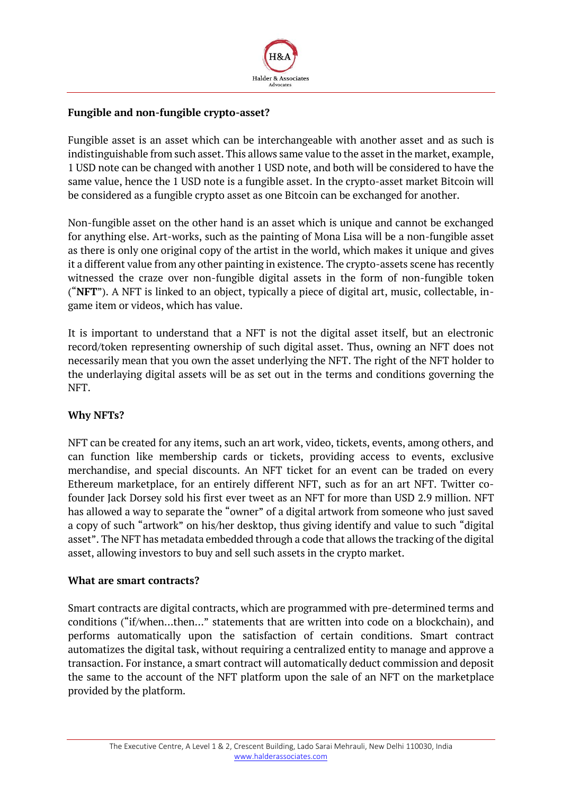

### **Fungible and non-fungible crypto-asset?**

Fungible asset is an asset which can be interchangeable with another asset and as such is indistinguishable from such asset. This allows same value to the asset in the market, example, 1 USD note can be changed with another 1 USD note, and both will be considered to have the same value, hence the 1 USD note is a fungible asset. In the crypto-asset market Bitcoin will be considered as a fungible crypto asset as one Bitcoin can be exchanged for another.

Non-fungible asset on the other hand is an asset which is unique and cannot be exchanged for anything else. Art-works, such as the painting of Mona Lisa will be a non-fungible asset as there is only one original copy of the artist in the world, which makes it unique and gives it a different value from any other painting in existence. The crypto-assets scene has recently witnessed the craze over non-fungible digital assets in the form of non-fungible token ("**NFT**"). A NFT is linked to an object, typically a piece of digital art, music, collectable, ingame item or videos, which has value.

It is important to understand that a NFT is not the digital asset itself, but an electronic record/token representing ownership of such digital asset. Thus, owning an NFT does not necessarily mean that you own the asset underlying the NFT. The right of the NFT holder to the underlaying digital assets will be as set out in the terms and conditions governing the NFT.

### **Why NFTs?**

NFT can be created for any items, such an art work, video, tickets, events, among others, and can function like membership cards or tickets, providing access to events, exclusive merchandise, and special discounts. An NFT ticket for an event can be traded on every Ethereum marketplace, for an entirely different NFT, such as for an art NFT. Twitter cofounder Jack Dorsey sold his first ever tweet as an NFT for more than USD 2.9 million. NFT has allowed a way to separate the "owner" of a digital artwork from someone who just saved a copy of such "artwork" on his/her desktop, thus giving identify and value to such "digital asset". The NFT has metadata embedded through a code that allows the tracking of the digital asset, allowing investors to buy and sell such assets in the crypto market.

#### **What are smart contracts?**

Smart contracts are digital contracts, which are programmed with pre-determined terms and conditions ("if/when…then…" statements that are written into code on a blockchain), and performs automatically upon the satisfaction of certain conditions. Smart contract automatizes the digital task, without requiring a centralized entity to manage and approve a transaction. For instance, a smart contract will automatically deduct commission and deposit the same to the account of the NFT platform upon the sale of an NFT on the marketplace provided by the platform.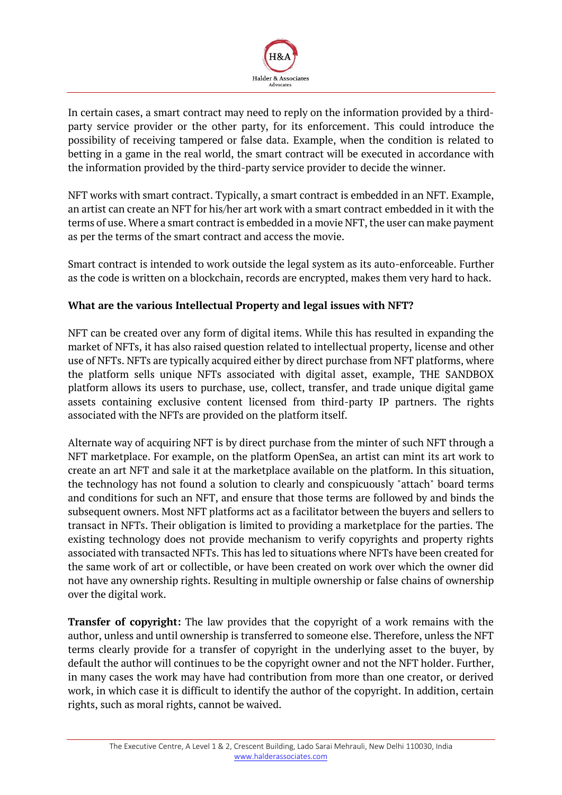

In certain cases, a smart contract may need to reply on the information provided by a thirdparty service provider or the other party, for its enforcement. This could introduce the possibility of receiving tampered or false data. Example, when the condition is related to betting in a game in the real world, the smart contract will be executed in accordance with the information provided by the third-party service provider to decide the winner.

NFT works with smart contract. Typically, a smart contract is embedded in an NFT. Example, an artist can create an NFT for his/her art work with a smart contract embedded in it with the terms of use. Where a smart contract is embedded in a movie NFT, the user can make payment as per the terms of the smart contract and access the movie.

Smart contract is intended to work outside the legal system as its auto-enforceable. Further as the code is written on a blockchain, records are encrypted, makes them very hard to hack.

## **What are the various Intellectual Property and legal issues with NFT?**

NFT can be created over any form of digital items. While this has resulted in expanding the market of NFTs, it has also raised question related to intellectual property, license and other use of NFTs. NFTs are typically acquired either by direct purchase from NFT platforms, where the platform sells unique NFTs associated with digital asset, example, THE SANDBOX platform allows its users to purchase, use, collect, transfer, and trade unique digital game assets containing exclusive content licensed from third-party IP partners. The rights associated with the NFTs are provided on the platform itself.

Alternate way of acquiring NFT is by direct purchase from the minter of such NFT through a NFT marketplace. For example, on the platform OpenSea, an artist can mint its art work to create an art NFT and sale it at the marketplace available on the platform. In this situation, the technology has not found a solution to clearly and conspicuously "attach" board terms and conditions for such an NFT, and ensure that those terms are followed by and binds the subsequent owners. Most NFT platforms act as a facilitator between the buyers and sellers to transact in NFTs. Their obligation is limited to providing a marketplace for the parties. The existing technology does not provide mechanism to verify copyrights and property rights associated with transacted NFTs. This has led to situations where NFTs have been created for the same work of art or collectible, or have been created on work over which the owner did not have any ownership rights. Resulting in multiple ownership or false chains of ownership over the digital work.

**Transfer of copyright:** The law provides that the copyright of a work remains with the author, unless and until ownership is transferred to someone else. Therefore, unless the NFT terms clearly provide for a transfer of copyright in the underlying asset to the buyer, by default the author will continues to be the copyright owner and not the NFT holder. Further, in many cases the work may have had contribution from more than one creator, or derived work, in which case it is difficult to identify the author of the copyright. In addition, certain rights, such as moral rights, cannot be waived.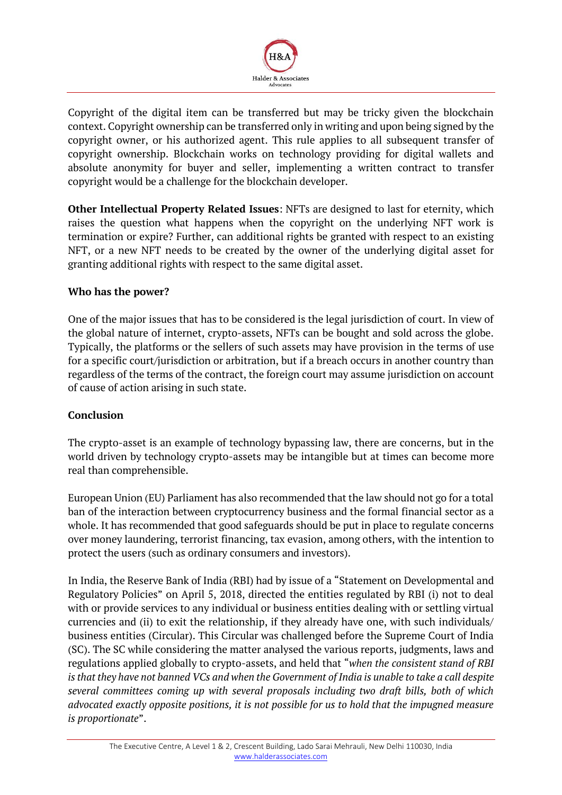

Copyright of the digital item can be transferred but may be tricky given the blockchain context. Copyright ownership can be transferred only in writing and upon being signed by the copyright owner, or his authorized agent. This rule applies to all subsequent transfer of copyright ownership. Blockchain works on technology providing for digital wallets and absolute anonymity for buyer and seller, implementing a written contract to transfer copyright would be a challenge for the blockchain developer.

**Other Intellectual Property Related Issues**: NFTs are designed to last for eternity, which raises the question what happens when the copyright on the underlying NFT work is termination or expire? Further, can additional rights be granted with respect to an existing NFT, or a new NFT needs to be created by the owner of the underlying digital asset for granting additional rights with respect to the same digital asset.

## **Who has the power?**

One of the major issues that has to be considered is the legal jurisdiction of court. In view of the global nature of internet, crypto-assets, NFTs can be bought and sold across the globe. Typically, the platforms or the sellers of such assets may have provision in the terms of use for a specific court/jurisdiction or arbitration, but if a breach occurs in another country than regardless of the terms of the contract, the foreign court may assume jurisdiction on account of cause of action arising in such state.

### **Conclusion**

The crypto-asset is an example of technology bypassing law, there are concerns, but in the world driven by technology crypto-assets may be intangible but at times can become more real than comprehensible.

European Union (EU) Parliament has also recommended that the law should not go for a total ban of the interaction between cryptocurrency business and the formal financial sector as a whole. It has recommended that good safeguards should be put in place to regulate concerns over money laundering, terrorist financing, tax evasion, among others, with the intention to protect the users (such as ordinary consumers and investors).

In India, the Reserve Bank of India (RBI) had by issue of a "Statement on Developmental and Regulatory Policies" on April 5, 2018, directed the entities regulated by RBI (i) not to deal with or provide services to any individual or business entities dealing with or settling virtual currencies and (ii) to exit the relationship, if they already have one, with such individuals/ business entities (Circular). This Circular was challenged before the Supreme Court of India (SC). The SC while considering the matter analysed the various reports, judgments, laws and regulations applied globally to crypto-assets, and held that "*when the consistent stand of RBI is that they have not banned VCs and when the Government of India is unable to take a call despite several committees coming up with several proposals including two draft bills, both of which advocated exactly opposite positions, it is not possible for us to hold that the impugned measure is proportionate*".